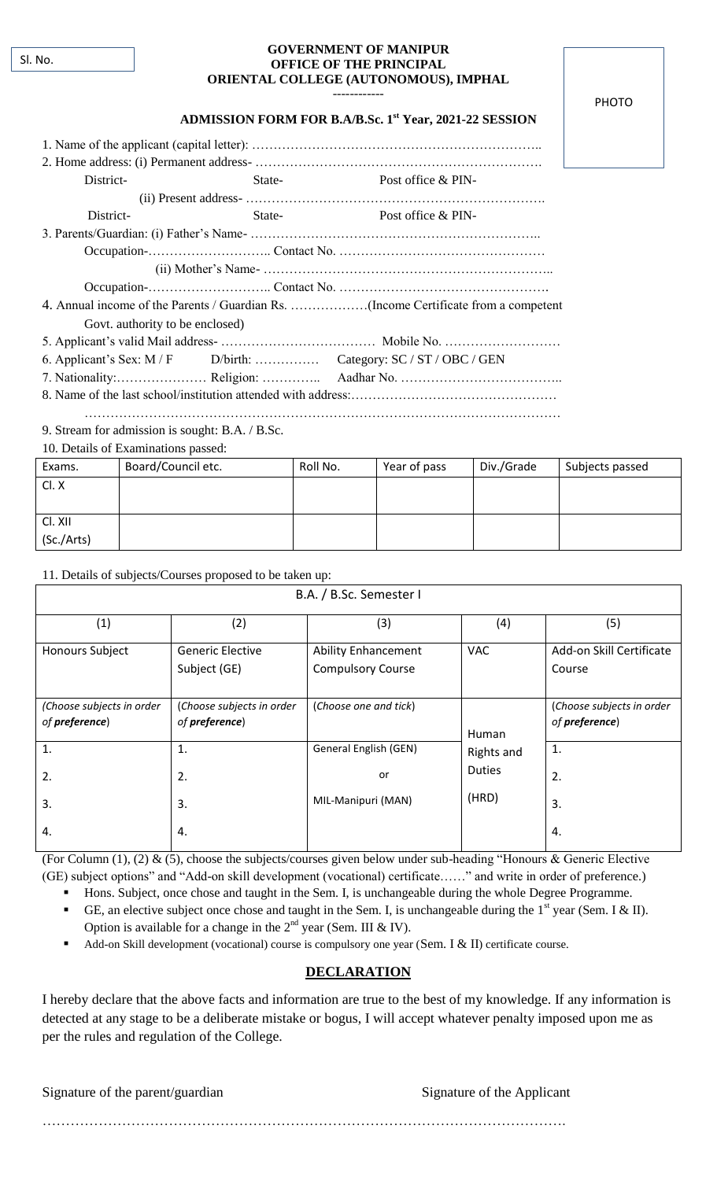| <b>GOVERNMENT OF MANIPUR</b>          |  |
|---------------------------------------|--|
| <b>OFFICE OF THE PRINCIPAL</b>        |  |
| ORIENTAL COLLEGE (AUTONOMOUS), IMPHAL |  |

### PHOTO

#### **ADMISSION FORM FOR B.A/B.Sc. 1st Year, 2021-22 SESSION**

------------

| District- | State- | Post office & PIN- |  |  |
|-----------|--------|--------------------|--|--|
|           |        |                    |  |  |
| District- | State- | Post office & PIN- |  |  |
|           |        |                    |  |  |

Occupation-……………………….. Contact No. …………………………………………

(ii) Mother"s Name- …………………………………………………………..

Occupation-……………………….. Contact No. …………………………………………. 4. Annual income of the Parents / Guardian Rs. ………………(Income Certificate from a competent Govt. authority to be enclosed)

6. Applicant"s Sex: M / F D/birth: …………… Category: SC / ST / OBC / GEN

7. Nationality:………………… Religion: ………….. Aadhar No. ………………………………..

8. Name of the last school/institution attended with address:…………………………………………

…………………………………………………………………………………………………

9. Stream for admission is sought: B.A. / B.Sc.

10. Details of Examinations passed:

| Exams.     | Board/Council etc. | Roll No. | Year of pass | Div./Grade | Subjects passed |
|------------|--------------------|----------|--------------|------------|-----------------|
| CLX        |                    |          |              |            |                 |
|            |                    |          |              |            |                 |
| Cl. XII    |                    |          |              |            |                 |
| (Sc./Arts) |                    |          |              |            |                 |

11. Details of subjects/Courses proposed to be taken up:

| B.A. / B.Sc. Semester I                     |                                             |                                                        |                                      |                                             |
|---------------------------------------------|---------------------------------------------|--------------------------------------------------------|--------------------------------------|---------------------------------------------|
| (1)                                         | (2)                                         | (3)                                                    | (4)                                  | (5)                                         |
| <b>Honours Subject</b>                      | <b>Generic Elective</b><br>Subject (GE)     | <b>Ability Enhancement</b><br><b>Compulsory Course</b> | <b>VAC</b>                           | Add-on Skill Certificate<br>Course          |
| (Choose subjects in order<br>of preference) | (Choose subjects in order<br>of preference) | (Choose one and tick)                                  | Human                                | (Choose subjects in order<br>of preference) |
| $\mathbf{1}$ .<br>2.                        | $\mathbf{1}$ .<br>2.                        | General English (GEN)<br>or                            | Rights and<br><b>Duties</b><br>(HRD) | 1.<br>2.                                    |
| 3.                                          | 3.                                          | MIL-Manipuri (MAN)                                     |                                      | 3.                                          |
| 4.                                          | 4.                                          |                                                        |                                      | 4.                                          |

(For Column (1), (2) & (5), choose the subjects/courses given below under sub-heading "Honours & Generic Elective (GE) subject options" and "Add-on skill development (vocational) certificate……" and write in order of preference.)

Hons. Subject, once chose and taught in the Sem. I, is unchangeable during the whole Degree Programme.

- GE, an elective subject once chose and taught in the Sem. I, is unchangeable during the  $1<sup>st</sup>$  year (Sem. I & II). Option is available for a change in the  $2<sup>nd</sup>$  year (Sem. III & IV).
- Add-on Skill development (vocational) course is compulsory one year (Sem. I & II) certificate course.

# **DECLARATION**

I hereby declare that the above facts and information are true to the best of my knowledge. If any information is detected at any stage to be a deliberate mistake or bogus, I will accept whatever penalty imposed upon me as per the rules and regulation of the College.

Signature of the parent/guardian Signature of the Applicant

………………………………………………………………………………………………….